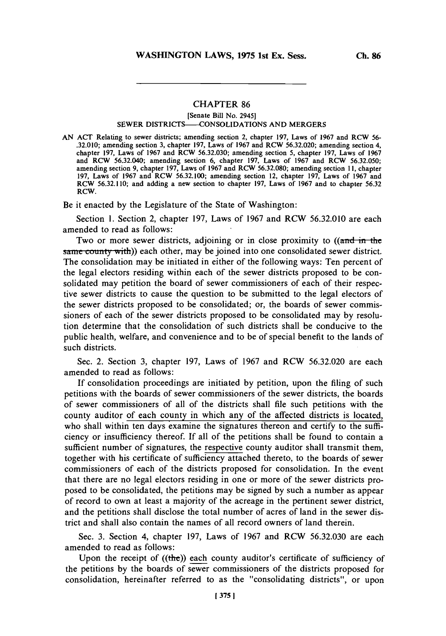## **CHAPTER 86**

[Senate Bill No. 2945]

## SEWER **DISTRICTS--CONSOLIDATIONS AND** MERGERS

**AN ACT** Relating to sewer districts; amending section 2, chapter **197,** Laws of **1967** and RCW **56- .32.010;** amending section **3,** chapter **197,** Laws of **1967** and RCW **56.32.020;** amending section 4, chapter **197,** Laws of **1967** and RCW **56.32.030;** amending section **5,** chapter **197,** Laws of **1967** and RCW **56.32.040;** amending section **6,** chapter **197,** Laws of **1967** and RCW **56.32.050;** amending section **9,** chapter **197,** Laws of **1967** and RCW **56.32.080;** amending section **11,** chapter **197,** Laws of **1967** and RCW **56.32.100;** amending section 12, chapter **197,** Laws of **1967** and RCW **56,32.110;** and adding a new section to chapter **197,** Laws of **1967** and to chapter **56.32** RCW.

Be it enacted **by** the Legislature of the State of Washington:

Section **1.** Section 2, chapter **197,** Laws of **1967** and RCW **56.32.010** are each amended to read as follows:

Two or more sewer districts, adjoining or in close proximity to  $((\text{and in the})$ same county with)) each other, may be joined into one consolidated sewer district. The consolidation may be initiated in either of the following ways: Ten percent of the legal electors residing within each of the sewer districts proposed to be consolidated may petition the board of sewer commissioners of each of their respective sewer districts to cause the question to be submitted to the legal electors of the sewer districts proposed to be consolidated; or, the boards of sewer commissioners of each of the sewer districts proposed to be consolidated may **by** resolution determine that the consolidation of such districts shall be conducive to the public health, welfare, and convenience and to **be** of special benefit to the lands of such districts.

Sec. 2. Section **3,** chapter **197,** Laws of **1967** and RCW **56.32.020** are each amended to read as follows:

**If** consolidation proceedings are initiated **by** petition, upon the filing of such petitions with the boards of sewer commissioners of the sewer districts, the boards of sewer commissioners of all of the districts shall ifie such petitions with the county auditor of each county in which any of the affected districts is located, who shall within ten days examine the signatures thereon and certify to the sufficiency or insufficiency thereof. **If** all of the petitions shall be found to contain a sufficient number of signatures, the respective county auditor shall transmit them, together with his certificate of sufficiency attached thereto, to the boards of sewer commissioners of each of the districts proposed for consolidation. In the event that there are no legal electors residing in one or more of the sewer districts proposed to be consolidated, the petitions may be signed **by** such a number as appear of record to own at least a majority of the acreage in the pertinent sewer district, and the petitions shall disclose the total number of acres of land in the sewer district and shall also contain the names of all record owners of land therein.

Sec. **3.** Section 4, chapter **197,** Laws of **1967** and RCW **56.32.030** are each amended to read as follows:

Upon the receipt of  $((the))$  each county auditor's certificate of sufficiency of the petitions **by** the boards of sewer commissioners of the districts proposed for consolidation, hereinafter referred to as the 'consolidating districts", or upon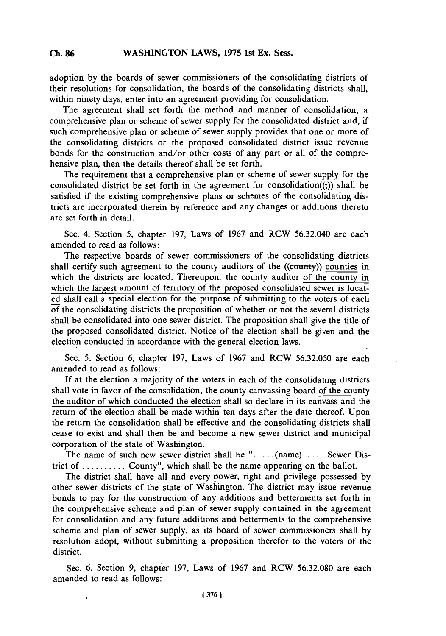adoption **by** the boards of sewer commissioners of the consolidating districts of their resolutions for consolidation, the boards of the consolidating districts shall, within ninety days, enter into an agreement providing for consolidation.

The agreement shall set forth the method and manmer of consolidation, a comprehensive plan or scheme of sewer supply for the consolidated district and, if such comprehensive plan or scheme of sewer supply provides that one or more of the consolidating districts or the proposed consolidated district issue revenue bonds for the construction and/or other costs of any part or all of the comprehensive plan, then the details thereof shall be set forth.

The requirement that a comprehensive plan or scheme of sewer supply for the consolidated district be set forth in the agreement for consolidation( $(3)$ ) shall be satisfied if the existing comprehensive plans or schemes of the consolidating districts are incorporated therein **by** reference and any changes or additions thereto are set forth in detail.

Sec. 4. Section **5,** chapter **197,** Laws of **1967** and RCW **56.32.040** are each amended to read as follows:

The respective boards of sewer commissioners of the consolidating districts shall certify such agreement to the county auditors of the ((county)) counties in which the districts are located. Thereupon, the county auditor of the county in which the largest amount of territory of the proposed consolidated sewer is located shall call a special election for the purpose of submitting to the voters of each of the consolidating districts the proposition of whether or not the several districts shall be consolidated into one sewer district. The proposition shall give the title of the proposed consolidated district. Notice of the election shall be given and the election conducted in accordance with the general election laws.

Sec. **5.** Section **6,** chapter **197,** Laws of **1967** and RCW **56.32.050** are each amended to read as follows:

If at the election a majority of the voters in each of the consolidating districts shall vote in favor of the consolidation, the county canvassing board of the county the auditor of which conducted the election shall so declare in its canvass and the return of the election shall be made within ten days after the date thereof. Upon the return the consolidation shall be effective and the consolidating districts shall cease to exist and shall then be and become a new sewer district and municipal corporation of the state of Washington.

The name of such new sewer district shall be  $" \ldots$  (name)..... Sewer District of **.......... County",** which shall be the name appearing on the ballot.

The district shall have all and every power, right and privilege possessed **by** other sewer districts of the state of Washington. The district may issue revenue bonds to pay for the construction of any additions and betterments set forth in the comprehensive scheme and plan of sewer supply contained in the agreement for consolidation and any future additions and betterments to the comprehensive scheme and plan of sewer supply, as its board of sewer commissioners shall **by** resolution adopt, without submitting a proposition therefor to the voters of the district.

Sec. **6.** Section **9,** chapter **197,** Laws of **1967** and RCW **56.32.080** are each amended to read as follows: